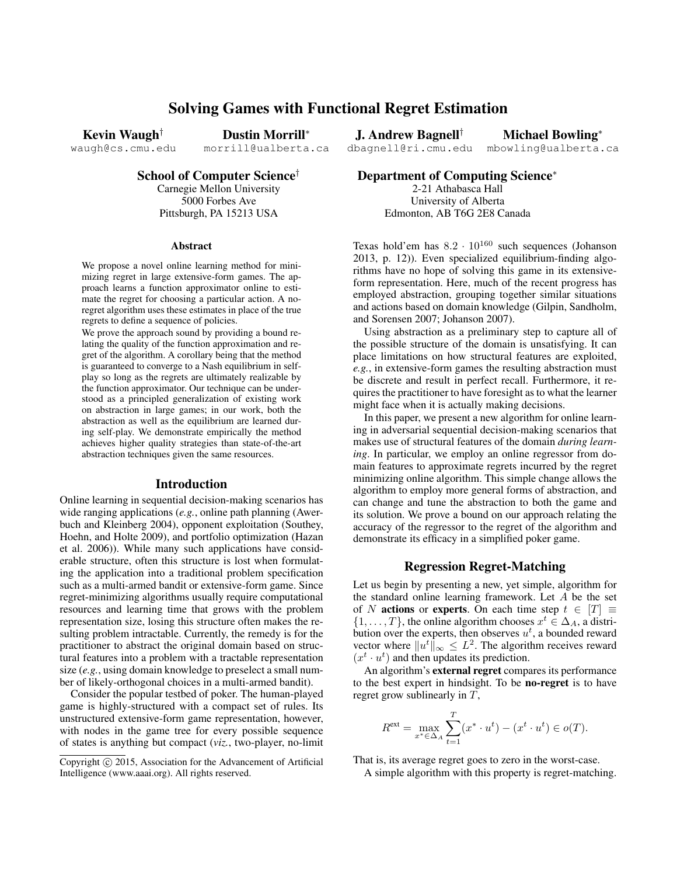# Solving Games with Functional Regret Estimation

Kevin Waugh†

Dustin Morrill<sup>∗</sup> morrill@ualberta.ca

waugh@cs.cmu.edu

School of Computer Science† Carnegie Mellon University 5000 Forbes Ave Pittsburgh, PA 15213 USA

#### Abstract

We propose a novel online learning method for minimizing regret in large extensive-form games. The approach learns a function approximator online to estimate the regret for choosing a particular action. A noregret algorithm uses these estimates in place of the true regrets to define a sequence of policies.

We prove the approach sound by providing a bound relating the quality of the function approximation and regret of the algorithm. A corollary being that the method is guaranteed to converge to a Nash equilibrium in selfplay so long as the regrets are ultimately realizable by the function approximator. Our technique can be understood as a principled generalization of existing work on abstraction in large games; in our work, both the abstraction as well as the equilibrium are learned during self-play. We demonstrate empirically the method achieves higher quality strategies than state-of-the-art abstraction techniques given the same resources.

#### Introduction

Online learning in sequential decision-making scenarios has wide ranging applications (*e.g.*, online path planning (Awerbuch and Kleinberg 2004), opponent exploitation (Southey, Hoehn, and Holte 2009), and portfolio optimization (Hazan et al. 2006)). While many such applications have considerable structure, often this structure is lost when formulating the application into a traditional problem specification such as a multi-armed bandit or extensive-form game. Since regret-minimizing algorithms usually require computational resources and learning time that grows with the problem representation size, losing this structure often makes the resulting problem intractable. Currently, the remedy is for the practitioner to abstract the original domain based on structural features into a problem with a tractable representation size (*e.g.*, using domain knowledge to preselect a small number of likely-orthogonal choices in a multi-armed bandit).

Consider the popular testbed of poker. The human-played game is highly-structured with a compact set of rules. Its unstructured extensive-form game representation, however, with nodes in the game tree for every possible sequence of states is anything but compact (*viz.*, two-player, no-limit

J. Andrew Bagnell† dbagnell@ri.cmu.edu Michael Bowling<sup>∗</sup>

mbowling@ualberta.ca

Department of Computing Science<sup>∗</sup>

2-21 Athabasca Hall University of Alberta Edmonton, AB T6G 2E8 Canada

Texas hold'em has  $8.2 \cdot 10^{160}$  such sequences (Johanson 2013, p. 12)). Even specialized equilibrium-finding algorithms have no hope of solving this game in its extensiveform representation. Here, much of the recent progress has employed abstraction, grouping together similar situations and actions based on domain knowledge (Gilpin, Sandholm, and Sorensen 2007; Johanson 2007).

Using abstraction as a preliminary step to capture all of the possible structure of the domain is unsatisfying. It can place limitations on how structural features are exploited, *e.g.*, in extensive-form games the resulting abstraction must be discrete and result in perfect recall. Furthermore, it requires the practitioner to have foresight as to what the learner might face when it is actually making decisions.

In this paper, we present a new algorithm for online learning in adversarial sequential decision-making scenarios that makes use of structural features of the domain *during learning*. In particular, we employ an online regressor from domain features to approximate regrets incurred by the regret minimizing online algorithm. This simple change allows the algorithm to employ more general forms of abstraction, and can change and tune the abstraction to both the game and its solution. We prove a bound on our approach relating the accuracy of the regressor to the regret of the algorithm and demonstrate its efficacy in a simplified poker game.

#### Regression Regret-Matching

Let us begin by presenting a new, yet simple, algorithm for the standard online learning framework. Let A be the set of N actions or experts. On each time step  $t \in [T] \equiv$  $\{1, \ldots, T\}$ , the online algorithm chooses  $x^t \in \Delta_A$ , a distribution over the experts, then observes  $u^t$ , a bounded reward vector where  $||u^t||_{\infty} \leq L^2$ . The algorithm receives reward  $(x<sup>t</sup> · u<sup>t</sup>)$  and then updates its prediction.

An algorithm's external regret compares its performance to the best expert in hindsight. To be no-regret is to have regret grow sublinearly in T,

$$
R^{\text{ext}} = \max_{x^* \in \Delta_A} \sum_{t=1}^T (x^* \cdot u^t) - (x^t \cdot u^t) \in o(T).
$$

That is, its average regret goes to zero in the worst-case.

A simple algorithm with this property is regret-matching.

Copyright (c) 2015, Association for the Advancement of Artificial Intelligence (www.aaai.org). All rights reserved.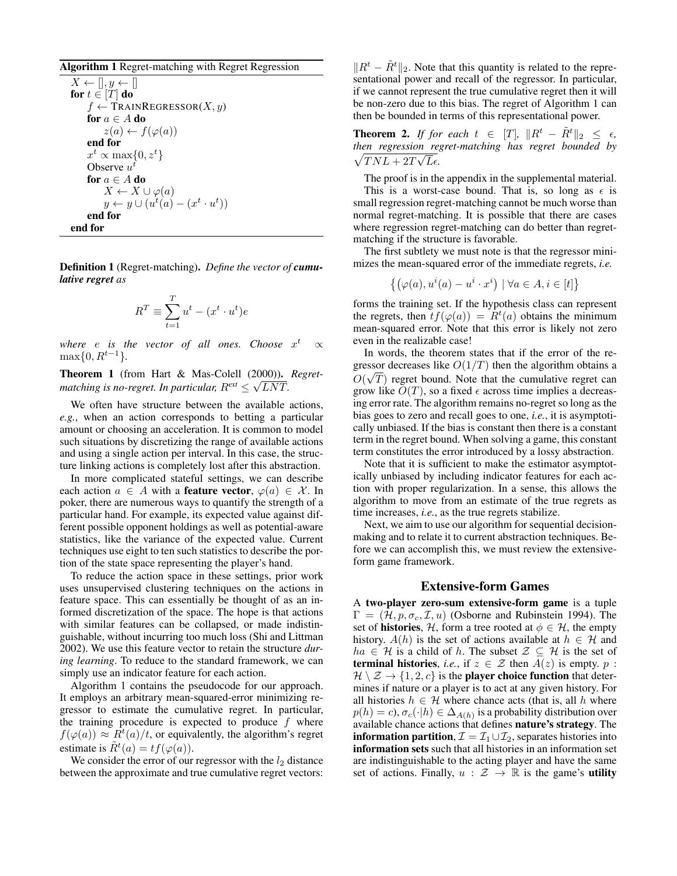# Algorithm 1 Regret-matching with Regret Regression

 $X \leftarrow []$ ,  $y \leftarrow []$ for  $t \in [T]$  do  $f \leftarrow \text{TRANSEGRESSOR}(X, y)$ for  $a \in A$  do  $z(a) \leftarrow f(\varphi(a))$ end for  $x^t \propto \max\{0, z^t\}$ Observe  $u^t$ for  $a \in A$  do  $X \leftarrow X \cup \varphi(a)$  $y \leftarrow y \cup (u^t(a) - (x^t \cdot u^t))$ end for end for

Definition 1 (Regret-matching). *Define the vector of cumulative regret as*

$$
R^T \equiv \sum_{t=1}^T u^t - (x^t \cdot u^t)e
$$

*where*  $e$  *is the vector of all ones. Choose*  $x^t$  $\alpha$  $\max\{0, R^{t-1}\}.$ 

Theorem 1 (from Hart & Mas-Colell (2000)). *Regret-*√ matching is no-regret. In particular,  $R^{\textit{ext}} \leq \sqrt{LNT}.$ 

We often have structure between the available actions, *e.g.*, when an action corresponds to betting a particular amount or choosing an acceleration. It is common to model such situations by discretizing the range of available actions and using a single action per interval. In this case, the structure linking actions is completely lost after this abstraction.

In more complicated stateful settings, we can describe each action  $a \in A$  with a **feature vector**,  $\varphi(a) \in \mathcal{X}$ . In poker, there are numerous ways to quantify the strength of a particular hand. For example, its expected value against different possible opponent holdings as well as potential-aware statistics, like the variance of the expected value. Current techniques use eight to ten such statistics to describe the portion of the state space representing the player's hand.

To reduce the action space in these settings, prior work uses unsupervised clustering techniques on the actions in feature space. This can essentially be thought of as an informed discretization of the space. The hope is that actions with similar features can be collapsed, or made indistinguishable, without incurring too much loss (Shi and Littman 2002). We use this feature vector to retain the structure *during learning*. To reduce to the standard framework, we can simply use an indicator feature for each action.

Algorithm 1 contains the pseudocode for our approach. It employs an arbitrary mean-squared-error minimizing regressor to estimate the cumulative regret. In particular, the training procedure is expected to produce  $f$  where  $f(\varphi(a)) \approx R^t(a)/t$ , or equivalently, the algorithm's regret estimate is  $\tilde{R}^t(a) = tf(\varphi(a)).$ 

We consider the error of our regressor with the  $l_2$  distance between the approximate and true cumulative regret vectors:

 $\Vert R^t - \tilde{R}^t \Vert_2$ . Note that this quantity is related to the representational power and recall of the regressor. In particular, if we cannot represent the true cumulative regret then it will be non-zero due to this bias. The regret of Algorithm 1 can then be bounded in terms of this representational power.

**Theorem 2.** *If for each*  $t \in [T]$ ,  $||R^t - \tilde{R}^t||_2 \leq \epsilon$ , *then regression regret-matching has regret bounded by* √  $\sqrt{T N L + 2T \sqrt{L} \epsilon}.$ 

The proof is in the appendix in the supplemental material.

This is a worst-case bound. That is, so long as  $\epsilon$  is small regression regret-matching cannot be much worse than normal regret-matching. It is possible that there are cases where regression regret-matching can do better than regretmatching if the structure is favorable.

The first subtlety we must note is that the regressor minimizes the mean-squared error of the immediate regrets, *i.e.*

$$
\{(\varphi(a), u^i(a) - u^i \cdot x^i) \mid \forall a \in A, i \in [t] \}
$$

forms the training set. If the hypothesis class can represent the regrets, then  $tf(\varphi(a)) = \hat{R}^t(a)$  obtains the minimum mean-squared error. Note that this error is likely not zero even in the realizable case!

In words, the theorem states that if the error of the regressor decreases like  $O(1/T)$  then the algorithm obtains a  $O(\sqrt{T})$  regret bound. Note that the cumulative regret can grow like  $O(T)$ , so a fixed  $\epsilon$  across time implies a decreasing error rate. The algorithm remains no-regret so long as the bias goes to zero and recall goes to one, *i.e.*, it is asymptotically unbiased. If the bias is constant then there is a constant term in the regret bound. When solving a game, this constant term constitutes the error introduced by a lossy abstraction.

Note that it is sufficient to make the estimator asymptotically unbiased by including indicator features for each action with proper regularization. In a sense, this allows the algorithm to move from an estimate of the true regrets as time increases, *i.e.*, as the true regrets stabilize.

Next, we aim to use our algorithm for sequential decisionmaking and to relate it to current abstraction techniques. Before we can accomplish this, we must review the extensiveform game framework.

#### Extensive-form Games

A two-player zero-sum extensive-form game is a tuple  $\Gamma = (\mathcal{H}, p, \sigma_c, \mathcal{I}, u)$  (Osborne and Rubinstein 1994). The set of **histories**, H, form a tree rooted at  $\phi \in \mathcal{H}$ , the empty history.  $A(h)$  is the set of actions available at  $h \in \mathcal{H}$  and  $ha \in \mathcal{H}$  is a child of h. The subset  $\mathcal{Z} \subseteq \mathcal{H}$  is the set of **terminal histories**, *i.e.*, if  $z \in \mathcal{Z}$  then  $A(z)$  is empty. p:  $\mathcal{H} \setminus \mathcal{Z} \rightarrow \{1, 2, c\}$  is the **player choice function** that determines if nature or a player is to act at any given history. For all histories  $h \in \mathcal{H}$  where chance acts (that is, all h where  $p(h) = c$ ),  $\sigma_c(\cdot|h) \in \Delta_{A(h)}$  is a probability distribution over available chance actions that defines nature's strategy. The **information partition,**  $\mathcal{I} = \mathcal{I}_1 \cup \mathcal{I}_2$ , separates histories into information sets such that all histories in an information set are indistinguishable to the acting player and have the same set of actions. Finally,  $u : \mathcal{Z} \to \mathbb{R}$  is the game's **utility**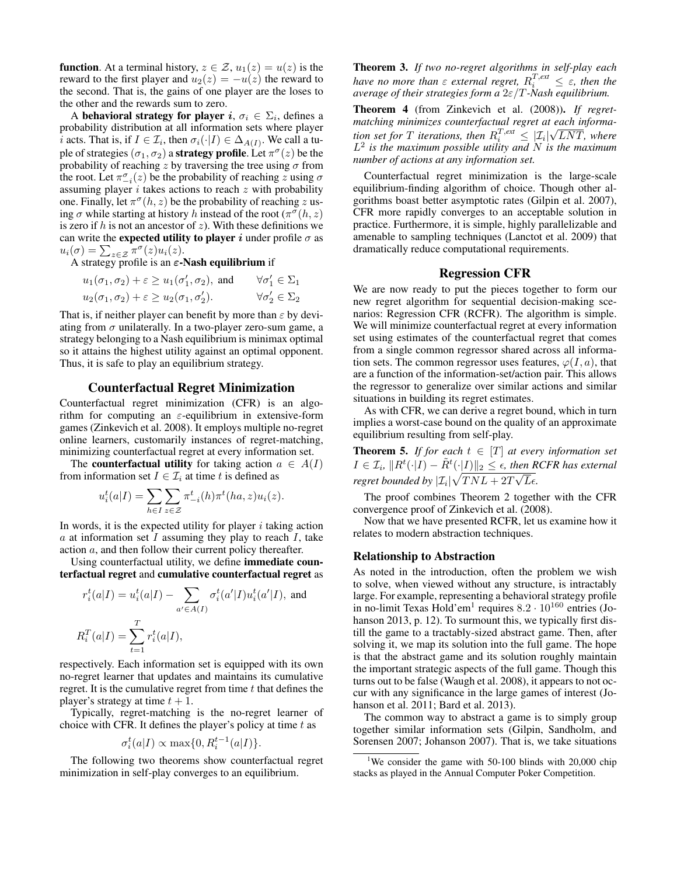**function.** At a terminal history,  $z \in \mathcal{Z}$ ,  $u_1(z) = u(z)$  is the reward to the first player and  $u_2(z) = -u(z)$  the reward to the second. That is, the gains of one player are the loses to the other and the rewards sum to zero.

A behavioral strategy for player  $i, \sigma_i \in \Sigma_i$ , defines a probability distribution at all information sets where player *i* acts. That is, if  $I \in \mathcal{I}_i$ , then  $\sigma_i(\cdot | I) \in \Delta_{A(I)}$ . We call a tuple of strategies  $(\sigma_1,\sigma_2)$  a **strategy profile**. Let  $\pi^{\sigma}(z)$  be the probability of reaching z by traversing the tree using  $\sigma$  from the root. Let  $\pi_{-i}^{\sigma}(z)$  be the probability of reaching z using  $\sigma$ assuming player  $i$  takes actions to reach  $z$  with probability one. Finally, let  $\pi^{\sigma}(h, z)$  be the probability of reaching z using  $\sigma$  while starting at history h instead of the root  $(\pi^{\sigma}(h, z))$ is zero if h is not an ancestor of  $z$ ). With these definitions we can write the **expected utility to player** i under profile  $\sigma$  as  $u_i(\sigma) = \sum_{z \in \mathcal{Z}} \overline{\pi}^{\sigma}(z) u_i(z).$ 

A strategy profile is an  $\varepsilon$ -Nash equilibrium if

$$
u_1(\sigma_1, \sigma_2) + \varepsilon \ge u_1(\sigma'_1, \sigma_2), \text{ and } \forall \sigma'_1 \in \Sigma_1
$$
  

$$
u_2(\sigma_1, \sigma_2) + \varepsilon \ge u_2(\sigma_1, \sigma'_2). \qquad \forall \sigma'_2 \in \Sigma_2
$$

That is, if neither player can benefit by more than  $\varepsilon$  by deviating from  $\sigma$  unilaterally. In a two-player zero-sum game, a strategy belonging to a Nash equilibrium is minimax optimal so it attains the highest utility against an optimal opponent. Thus, it is safe to play an equilibrium strategy.

# Counterfactual Regret Minimization

Counterfactual regret minimization (CFR) is an algorithm for computing an  $\varepsilon$ -equilibrium in extensive-form games (Zinkevich et al. 2008). It employs multiple no-regret online learners, customarily instances of regret-matching, minimizing counterfactual regret at every information set.

The **counterfactual utility** for taking action  $a \in A(I)$ from information set  $I \in \mathcal{I}_i$  at time t is defined as

$$
u_i^t(a|I) = \sum_{h \in I} \sum_{z \in \mathcal{Z}} \pi^t_{-i}(h) \pi^t(ha, z) u_i(z).
$$

In words, it is the expected utility for player  $i$  taking action  $a$  at information set  $I$  assuming they play to reach  $I$ , take action a, and then follow their current policy thereafter.

Using counterfactual utility, we define immediate counterfactual regret and cumulative counterfactual regret as

$$
r_i^t(a|I) = u_i^t(a|I) - \sum_{a' \in A(I)} \sigma_i^t(a'|I)u_i^t(a'|I),
$$
 and  

$$
R_i^T(a|I) = \sum_{t=1}^T r_i^t(a|I),
$$

respectively. Each information set is equipped with its own no-regret learner that updates and maintains its cumulative regret. It is the cumulative regret from time  $t$  that defines the player's strategy at time  $t + 1$ .

Typically, regret-matching is the no-regret learner of choice with CFR. It defines the player's policy at time  $t$  as

$$
\sigma_i^t(a|I) \propto \max\{0, R_i^{t-1}(a|I)\}.
$$

The following two theorems show counterfactual regret minimization in self-play converges to an equilibrium.

Theorem 3. *If two no-regret algorithms in self-play each have no more than*  $\varepsilon$  *external regret,*  $R_i^{T,\text{ext}} \leq \varepsilon$ , then the *average of their strategies form a* 2ε/T*-Nash equilibrium.*

Theorem 4 (from Zinkevich et al. (2008)). *If regretmatching minimizes counterfactual regret at each information set for* T *iterations, then*  $R_i^{T,\text{ext}} \leq |\mathcal{I}_i|$ √ LNT*, where* L 2 *is the maximum possible utility and* N *is the maximum number of actions at any information set.*

Counterfactual regret minimization is the large-scale equilibrium-finding algorithm of choice. Though other algorithms boast better asymptotic rates (Gilpin et al. 2007), CFR more rapidly converges to an acceptable solution in practice. Furthermore, it is simple, highly parallelizable and amenable to sampling techniques (Lanctot et al. 2009) that dramatically reduce computational requirements.

# Regression CFR

We are now ready to put the pieces together to form our new regret algorithm for sequential decision-making scenarios: Regression CFR (RCFR). The algorithm is simple. We will minimize counterfactual regret at every information set using estimates of the counterfactual regret that comes from a single common regressor shared across all information sets. The common regressor uses features,  $\varphi(I, a)$ , that are a function of the information-set/action pair. This allows the regressor to generalize over similar actions and similar situations in building its regret estimates.

As with CFR, we can derive a regret bound, which in turn implies a worst-case bound on the quality of an approximate equilibrium resulting from self-play.

**Theorem 5.** *If for each*  $t \in [T]$  *at every information set*  $I \in \mathcal{I}_i$ ,  $\|R^t(\cdot|I) - \tilde{R}^t(\cdot|I)\|_2 \leq \epsilon$ , then RCFR has external *regret bounded by*  $|\mathcal{I}_i| \sqrt{TNL + 2T\sqrt{L}\epsilon}$ .

The proof combines Theorem 2 together with the CFR convergence proof of Zinkevich et al. (2008).

Now that we have presented RCFR, let us examine how it relates to modern abstraction techniques.

#### Relationship to Abstraction

As noted in the introduction, often the problem we wish to solve, when viewed without any structure, is intractably large. For example, representing a behavioral strategy profile in no-limit Texas Hold'em<sup>1</sup> requires  $8.2 \cdot 10^{160}$  entries (Johanson 2013, p. 12). To surmount this, we typically first distill the game to a tractably-sized abstract game. Then, after solving it, we map its solution into the full game. The hope is that the abstract game and its solution roughly maintain the important strategic aspects of the full game. Though this turns out to be false (Waugh et al. 2008), it appears to not occur with any significance in the large games of interest (Johanson et al. 2011; Bard et al. 2013).

The common way to abstract a game is to simply group together similar information sets (Gilpin, Sandholm, and Sorensen 2007; Johanson 2007). That is, we take situations

<sup>&</sup>lt;sup>1</sup>We consider the game with 50-100 blinds with 20,000 chip stacks as played in the Annual Computer Poker Competition.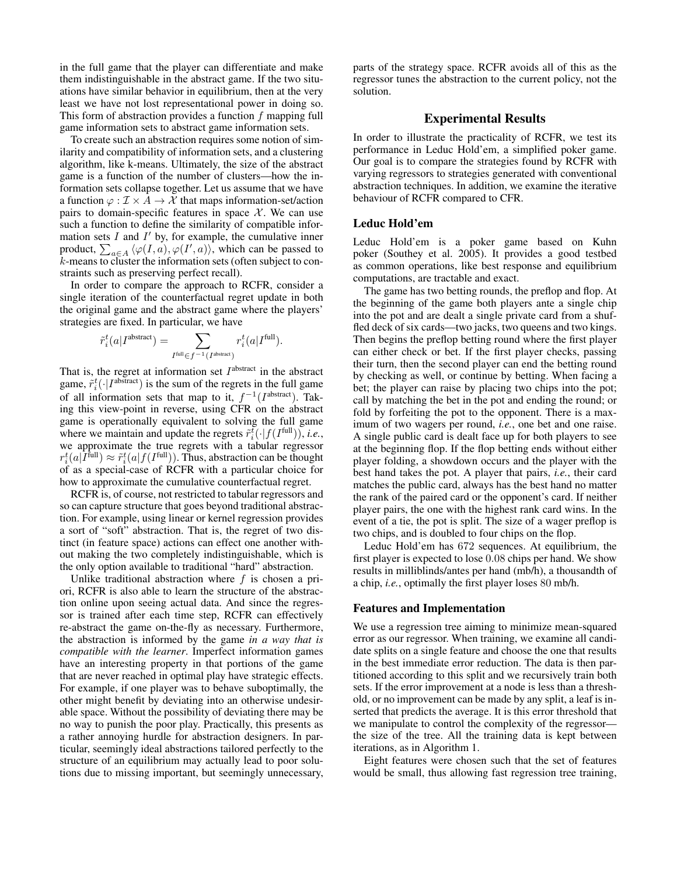in the full game that the player can differentiate and make them indistinguishable in the abstract game. If the two situations have similar behavior in equilibrium, then at the very least we have not lost representational power in doing so. This form of abstraction provides a function  $f$  mapping full game information sets to abstract game information sets.

To create such an abstraction requires some notion of similarity and compatibility of information sets, and a clustering algorithm, like k-means. Ultimately, the size of the abstract game is a function of the number of clusters—how the information sets collapse together. Let us assume that we have a function  $\varphi : \mathcal{I} \times A \rightarrow \mathcal{X}$  that maps information-set/action pairs to domain-specific features in space  $X$ . We can use such a function to define the similarity of compatible information sets  $I$  and  $I'$  by, for example, the cumulative inner product,  $\sum_{a \in A} \langle \varphi(I, a), \varphi(I', a) \rangle$ , which can be passed to k-means to cluster the information sets (often subject to constraints such as preserving perfect recall).

In order to compare the approach to RCFR, consider a single iteration of the counterfactual regret update in both the original game and the abstract game where the players' strategies are fixed. In particular, we have

$$
\tilde{r}_i^t(a|I^{\text{abstract}}) = \sum_{I^{\text{full}} \in f^{-1}(I^{\text{abstract}})} r_i^t(a|I^{\text{full}}).
$$

That is, the regret at information set  $I<sup>abstract</sup>$  in the abstract game,  $\tilde{r}_i^t(\cdot | I^{\text{abstract}})$  is the sum of the regrets in the full game of all information sets that map to it,  $f^{-1}(I^{\text{abstract}})$ . Taking this view-point in reverse, using CFR on the abstract game is operationally equivalent to solving the full game where we maintain and update the regrets  $\tilde{r}_i^{\bar{t}}(\cdot | f(I^{\text{full}})), i.e.,$ we approximate the true regrets with a tabular regressor  $r_i^t(a|\overline{I}^{\text{full}}) \approx \tilde{r}_i^t(a|f(I^{\text{full}})).$  Thus, abstraction can be thought of as a special-case of RCFR with a particular choice for how to approximate the cumulative counterfactual regret.

RCFR is, of course, not restricted to tabular regressors and so can capture structure that goes beyond traditional abstraction. For example, using linear or kernel regression provides a sort of "soft" abstraction. That is, the regret of two distinct (in feature space) actions can effect one another without making the two completely indistinguishable, which is the only option available to traditional "hard" abstraction.

Unlike traditional abstraction where  $f$  is chosen a priori, RCFR is also able to learn the structure of the abstraction online upon seeing actual data. And since the regressor is trained after each time step, RCFR can effectively re-abstract the game on-the-fly as necessary. Furthermore, the abstraction is informed by the game *in a way that is compatible with the learner*. Imperfect information games have an interesting property in that portions of the game that are never reached in optimal play have strategic effects. For example, if one player was to behave suboptimally, the other might benefit by deviating into an otherwise undesirable space. Without the possibility of deviating there may be no way to punish the poor play. Practically, this presents as a rather annoying hurdle for abstraction designers. In particular, seemingly ideal abstractions tailored perfectly to the structure of an equilibrium may actually lead to poor solutions due to missing important, but seemingly unnecessary,

parts of the strategy space. RCFR avoids all of this as the regressor tunes the abstraction to the current policy, not the solution.

# Experimental Results

In order to illustrate the practicality of RCFR, we test its performance in Leduc Hold'em, a simplified poker game. Our goal is to compare the strategies found by RCFR with varying regressors to strategies generated with conventional abstraction techniques. In addition, we examine the iterative behaviour of RCFR compared to CFR.

#### Leduc Hold'em

Leduc Hold'em is a poker game based on Kuhn poker (Southey et al. 2005). It provides a good testbed as common operations, like best response and equilibrium computations, are tractable and exact.

The game has two betting rounds, the preflop and flop. At the beginning of the game both players ante a single chip into the pot and are dealt a single private card from a shuffled deck of six cards—two jacks, two queens and two kings. Then begins the preflop betting round where the first player can either check or bet. If the first player checks, passing their turn, then the second player can end the betting round by checking as well, or continue by betting. When facing a bet; the player can raise by placing two chips into the pot; call by matching the bet in the pot and ending the round; or fold by forfeiting the pot to the opponent. There is a maximum of two wagers per round, *i.e.*, one bet and one raise. A single public card is dealt face up for both players to see at the beginning flop. If the flop betting ends without either player folding, a showdown occurs and the player with the best hand takes the pot. A player that pairs, *i.e.*, their card matches the public card, always has the best hand no matter the rank of the paired card or the opponent's card. If neither player pairs, the one with the highest rank card wins. In the event of a tie, the pot is split. The size of a wager preflop is two chips, and is doubled to four chips on the flop.

Leduc Hold'em has 672 sequences. At equilibrium, the first player is expected to lose 0.08 chips per hand. We show results in milliblinds/antes per hand (mb/h), a thousandth of a chip, *i.e.*, optimally the first player loses 80 mb/h.

# Features and Implementation

We use a regression tree aiming to minimize mean-squared error as our regressor. When training, we examine all candidate splits on a single feature and choose the one that results in the best immediate error reduction. The data is then partitioned according to this split and we recursively train both sets. If the error improvement at a node is less than a threshold, or no improvement can be made by any split, a leaf is inserted that predicts the average. It is this error threshold that we manipulate to control the complexity of the regressor the size of the tree. All the training data is kept between iterations, as in Algorithm 1.

Eight features were chosen such that the set of features would be small, thus allowing fast regression tree training,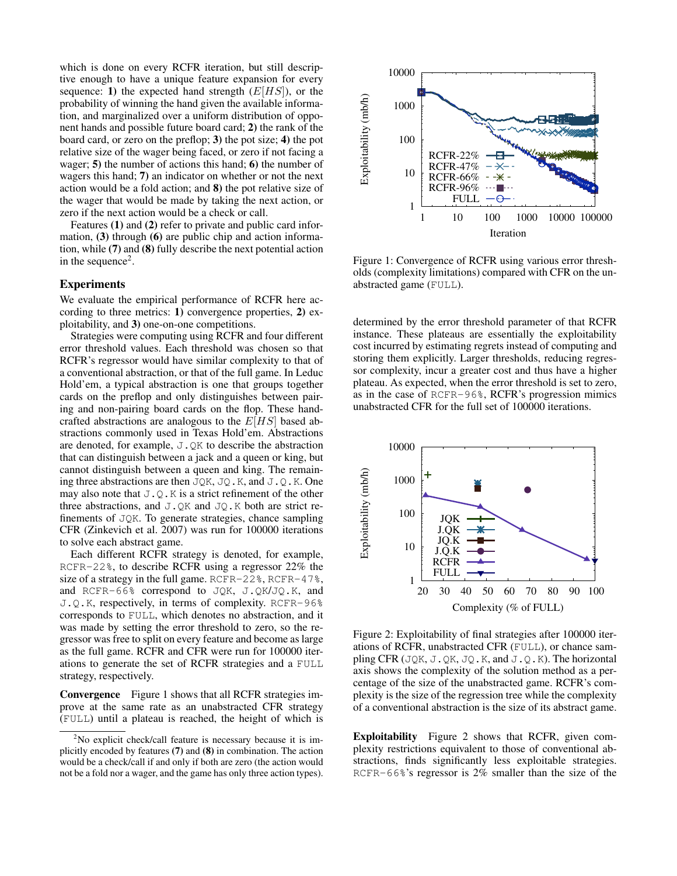which is done on every RCFR iteration, but still descriptive enough to have a unique feature expansion for every sequence: 1) the expected hand strength  $(E[HS])$ , or the probability of winning the hand given the available information, and marginalized over a uniform distribution of opponent hands and possible future board card; 2) the rank of the board card, or zero on the preflop; 3) the pot size; 4) the pot relative size of the wager being faced, or zero if not facing a wager; 5) the number of actions this hand; 6) the number of wagers this hand; 7) an indicator on whether or not the next action would be a fold action; and 8) the pot relative size of the wager that would be made by taking the next action, or zero if the next action would be a check or call.

Features (1) and (2) refer to private and public card information, (3) through (6) are public chip and action information, while (7) and (8) fully describe the next potential action in the sequence<sup>2</sup>.

#### Experiments

We evaluate the empirical performance of RCFR here according to three metrics: 1) convergence properties, 2) exploitability, and 3) one-on-one competitions.

Strategies were computing using RCFR and four different error threshold values. Each threshold was chosen so that RCFR's regressor would have similar complexity to that of a conventional abstraction, or that of the full game. In Leduc Hold'em, a typical abstraction is one that groups together cards on the preflop and only distinguishes between pairing and non-pairing board cards on the flop. These handcrafted abstractions are analogous to the  $E[HS]$  based abstractions commonly used in Texas Hold'em. Abstractions are denoted, for example, J.QK to describe the abstraction that can distinguish between a jack and a queen or king, but cannot distinguish between a queen and king. The remaining three abstractions are then  $JQK$ ,  $JQ$ .K, and  $JQ$ .K. One may also note that  $J. Q.K$  is a strict refinement of the other three abstractions, and J.QK and JQ.K both are strict refinements of JQK. To generate strategies, chance sampling CFR (Zinkevich et al. 2007) was run for 100000 iterations to solve each abstract game.

Each different RCFR strategy is denoted, for example, RCFR-22%, to describe RCFR using a regressor 22% the size of a strategy in the full game. RCFR-22%, RCFR-47%, and RCFR-66% correspond to JQK, J.QK/JQ.K, and J.Q.K, respectively, in terms of complexity. RCFR-96% corresponds to FULL, which denotes no abstraction, and it was made by setting the error threshold to zero, so the regressor was free to split on every feature and become as large as the full game. RCFR and CFR were run for 100000 iterations to generate the set of RCFR strategies and a FULL strategy, respectively.

Convergence Figure 1 shows that all RCFR strategies improve at the same rate as an unabstracted CFR strategy (FULL) until a plateau is reached, the height of which is



Figure 1: Convergence of RCFR using various error thresholds (complexity limitations) compared with CFR on the unabstracted game (FULL).

determined by the error threshold parameter of that RCFR instance. These plateaus are essentially the exploitability cost incurred by estimating regrets instead of computing and storing them explicitly. Larger thresholds, reducing regressor complexity, incur a greater cost and thus have a higher plateau. As expected, when the error threshold is set to zero, as in the case of RCFR-96%, RCFR's progression mimics unabstracted CFR for the full set of 100000 iterations.



Figure 2: Exploitability of final strategies after 100000 iterations of RCFR, unabstracted CFR (FULL), or chance sampling CFR (JQK, J.QK, JQ.K, and J.Q.K). The horizontal axis shows the complexity of the solution method as a percentage of the size of the unabstracted game. RCFR's complexity is the size of the regression tree while the complexity of a conventional abstraction is the size of its abstract game.

Exploitability Figure 2 shows that RCFR, given complexity restrictions equivalent to those of conventional abstractions, finds significantly less exploitable strategies. RCFR-66%'s regressor is 2% smaller than the size of the

<sup>&</sup>lt;sup>2</sup>No explicit check/call feature is necessary because it is implicitly encoded by features (7) and (8) in combination. The action would be a check/call if and only if both are zero (the action would not be a fold nor a wager, and the game has only three action types).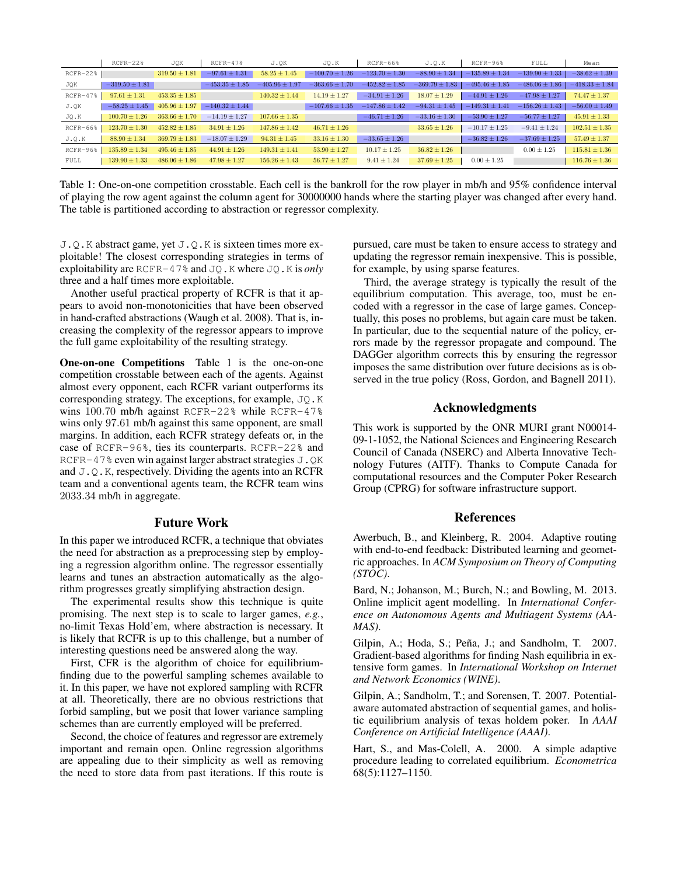|             | $RCFR-22%$         | JOK               | $RCFR-47%$         | J.OK               | JQ.K               | $RCFR-66%$         | J.O.K              | RCFR-96%           | FULL               | Mean               |
|-------------|--------------------|-------------------|--------------------|--------------------|--------------------|--------------------|--------------------|--------------------|--------------------|--------------------|
| $RCFR-22%$  |                    | $319.50 \pm 1.81$ | $-97.61 \pm 1.31$  | $58.25 \pm 1.45$   | $-100.70 \pm 1.26$ | $-123.70 \pm 1.30$ | $-88.90 \pm 1.34$  | $-135.89 \pm 1.34$ | $-139.90 \pm 1.33$ | $-38.62 \pm 1.39$  |
| JQK         | $-319.50 \pm 1.81$ |                   | $-453.35 \pm 1.85$ | $-405.96 \pm 1.97$ | $-363.66 \pm 1.70$ | $-452.82 \pm 1.85$ | $-369.79 \pm 1.83$ | $-495.46 \pm 1.85$ | $-486.06 \pm 1.86$ | $-418.33 \pm 1.84$ |
| $RCFR-47%$  | $97.61 \pm 1.31$   | $453.35 \pm 1.85$ |                    | $140.32 \pm 1.44$  | $14.19 \pm 1.27$   | $-34.91 \pm 1.26$  | $18.07 \pm 1.29$   | $-44.91 \pm 1.26$  | $-47.98 \pm 1.27$  | $74.47 \pm 1.37$   |
| J.QK        | $-58.25 \pm 1.45$  | $405.96 \pm 1.97$ | $-140.32 \pm 1.44$ |                    | $-107.66 \pm 1.35$ | $-147.86 \pm 1.42$ | $-94.31 \pm 1.45$  | $-149.31 \pm 1.41$ | $-156.26 \pm 1.43$ | $-56.00 \pm 1.49$  |
| JQ.K        | $100.70 \pm 1.26$  | $363.66 \pm 1.70$ | $-14.19 \pm 1.27$  | $107.66 \pm 1.35$  |                    | $-46.71 \pm 1.26$  | $-33.16 \pm 1.30$  | $-53.90 \pm 1.27$  | $-56.77 \pm 1.27$  | $45.91 \pm 1.33$   |
| $RCFR-66%$  | $123.70 \pm 1.30$  | $452.82 \pm 1.85$ | $34.91 \pm 1.26$   | $147.86 \pm 1.42$  | $46.71 \pm 1.26$   |                    | $33.65 \pm 1.26$   | $-10.17 \pm 1.25$  | $-9.41 \pm 1.24$   | $102.51 \pm 1.35$  |
| J.Q.K       | $88.90 \pm 1.34$   | $369.79 \pm 1.83$ | $-18.07 \pm 1.29$  | $94.31 \pm 1.45$   | $33.16 \pm 1.30$   | $-33.65 \pm 1.26$  |                    | $-36.82 \pm 1.26$  | $-37.69 \pm 1.25$  | $57.49 \pm 1.37$   |
| RCFR-96%    | $135.89 \pm 1.34$  | $495.46 \pm 1.85$ | $44.91 \pm 1.26$   | $149.31 \pm 1.41$  | $53.90 \pm 1.27$   | $10.17 \pm 1.25$   | $36.82 \pm 1.26$   |                    | $0.00 \pm 1.25$    | $115.81 \pm 1.36$  |
| <b>FULL</b> | $139.90 \pm 1.33$  | $486.06 \pm 1.86$ | $47.98 \pm 1.27$   | $156.26 \pm 1.43$  | $56.77 \pm 1.27$   | $9.41 \pm 1.24$    | $37.69 \pm 1.25$   | $0.00 \pm 1.25$    |                    | $116.76 \pm 1.36$  |

Table 1: One-on-one competition crosstable. Each cell is the bankroll for the row player in mb/h and 95% confidence interval of playing the row agent against the column agent for 30000000 hands where the starting player was changed after every hand. The table is partitioned according to abstraction or regressor complexity.

J.Q.K abstract game, yet J.Q.K is sixteen times more exploitable! The closest corresponding strategies in terms of exploitability are RCFR-47% and JQ.K where JQ.K is *only* three and a half times more exploitable.

Another useful practical property of RCFR is that it appears to avoid non-monotonicities that have been observed in hand-crafted abstractions (Waugh et al. 2008). That is, increasing the complexity of the regressor appears to improve the full game exploitability of the resulting strategy.

One-on-one Competitions Table 1 is the one-on-one competition crosstable between each of the agents. Against almost every opponent, each RCFR variant outperforms its corresponding strategy. The exceptions, for example, JQ.K wins 100.70 mb/h against RCFR-22% while RCFR-47% wins only 97.61 mb/h against this same opponent, are small margins. In addition, each RCFR strategy defeats or, in the case of RCFR-96%, ties its counterparts. RCFR-22% and RCFR-47% even win against larger abstract strategies J.QK and  $J$ , Q, K, respectively. Dividing the agents into an RCFR team and a conventional agents team, the RCFR team wins 2033.34 mb/h in aggregate.

# Future Work

In this paper we introduced RCFR, a technique that obviates the need for abstraction as a preprocessing step by employing a regression algorithm online. The regressor essentially learns and tunes an abstraction automatically as the algorithm progresses greatly simplifying abstraction design.

The experimental results show this technique is quite promising. The next step is to scale to larger games, *e.g.*, no-limit Texas Hold'em, where abstraction is necessary. It is likely that RCFR is up to this challenge, but a number of interesting questions need be answered along the way.

First, CFR is the algorithm of choice for equilibriumfinding due to the powerful sampling schemes available to it. In this paper, we have not explored sampling with RCFR at all. Theoretically, there are no obvious restrictions that forbid sampling, but we posit that lower variance sampling schemes than are currently employed will be preferred.

Second, the choice of features and regressor are extremely important and remain open. Online regression algorithms are appealing due to their simplicity as well as removing the need to store data from past iterations. If this route is pursued, care must be taken to ensure access to strategy and updating the regressor remain inexpensive. This is possible, for example, by using sparse features.

Third, the average strategy is typically the result of the equilibrium computation. This average, too, must be encoded with a regressor in the case of large games. Conceptually, this poses no problems, but again care must be taken. In particular, due to the sequential nature of the policy, errors made by the regressor propagate and compound. The DAGGer algorithm corrects this by ensuring the regressor imposes the same distribution over future decisions as is observed in the true policy (Ross, Gordon, and Bagnell 2011).

# Acknowledgments

This work is supported by the ONR MURI grant N00014- 09-1-1052, the National Sciences and Engineering Research Council of Canada (NSERC) and Alberta Innovative Technology Futures (AITF). Thanks to Compute Canada for computational resources and the Computer Poker Research Group (CPRG) for software infrastructure support.

# References

Awerbuch, B., and Kleinberg, R. 2004. Adaptive routing with end-to-end feedback: Distributed learning and geometric approaches. In *ACM Symposium on Theory of Computing (STOC)*.

Bard, N.; Johanson, M.; Burch, N.; and Bowling, M. 2013. Online implicit agent modelling. In *International Conference on Autonomous Agents and Multiagent Systems (AA-MAS)*.

Gilpin, A.; Hoda, S.; Peña, J.; and Sandholm, T. 2007. Gradient-based algorithms for finding Nash equilibria in extensive form games. In *International Workshop on Internet and Network Economics (WINE)*.

Gilpin, A.; Sandholm, T.; and Sorensen, T. 2007. Potentialaware automated abstraction of sequential games, and holistic equilibrium analysis of texas holdem poker. In *AAAI Conference on Artificial Intelligence (AAAI)*.

Hart, S., and Mas-Colell, A. 2000. A simple adaptive procedure leading to correlated equilibrium. *Econometrica* 68(5):1127–1150.